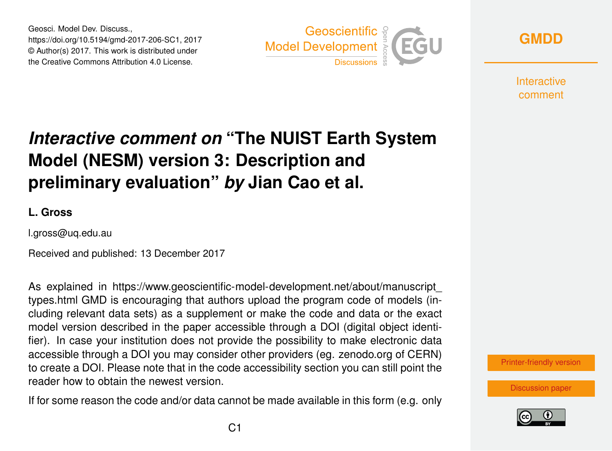Geosci. Model Dev. Discuss., https://doi.org/10.5194/gmd-2017-206-SC1, 2017 © Author(s) 2017. This work is distributed under the Creative Commons Attribution 4.0 License.



**[GMDD](https://www.geosci-model-dev-discuss.net/)**

**Interactive** comment

## *Interactive comment on* **"The NUIST Earth System Model (NESM) version 3: Description and preliminary evaluation"** *by* **Jian Cao et al.**

## **L. Gross**

l.gross@uq.edu.au

Received and published: 13 December 2017

As explained in [https://www.geoscientific-model-development.net/about/manuscript\\_](https://www.geoscientific-model-development.net/about/manuscript_types.html) [types.html](https://www.geoscientific-model-development.net/about/manuscript_types.html) GMD is encouraging that authors upload the program code of models (including relevant data sets) as a supplement or make the code and data or the exact model version described in the paper accessible through a DOI (digital object identifier). In case your institution does not provide the possibility to make electronic data accessible through a DOI you may consider other providers (eg. zenodo.org of CERN) to create a DOI. Please note that in the code accessibility section you can still point the reader how to obtain the newest version.

If for some reason the code and/or data cannot be made available in this form (e.g. only



[Discussion paper](https://www.geosci-model-dev-discuss.net/gmd-2017-206)